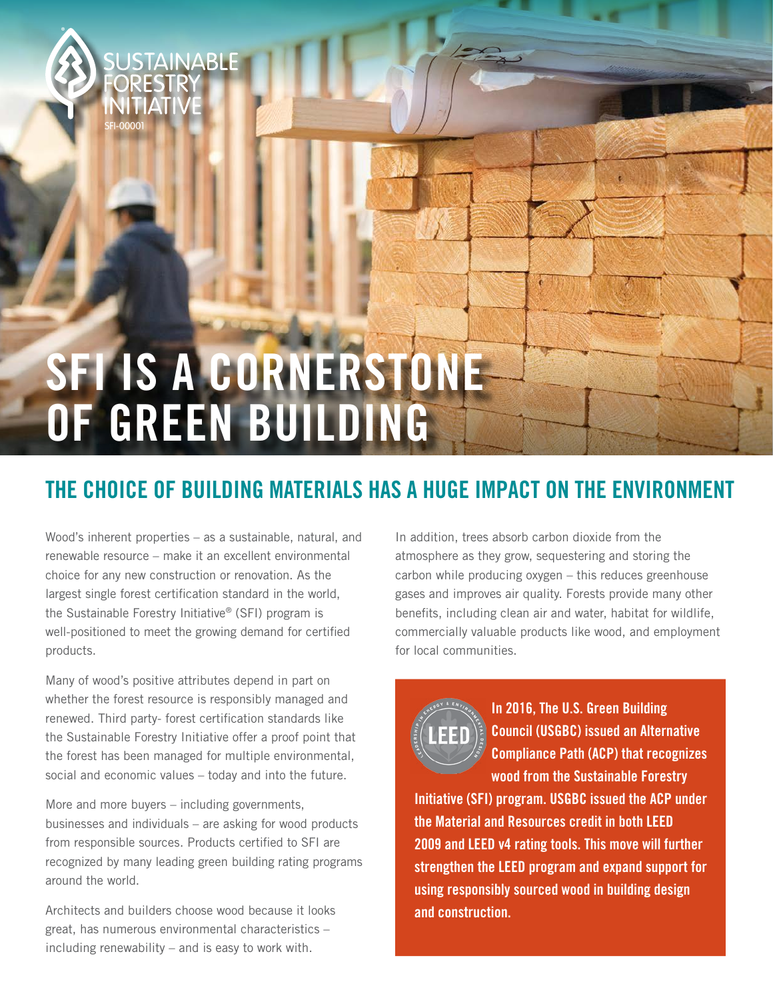

## **SFI is a cornerstone of GREEN BUILDING**

## **The choice of building materials has a huge impact on the environment**

Wood's inherent properties – as a sustainable, natural, and renewable resource – make it an excellent environmental choice for any new construction or renovation. As the largest single forest certification standard in the world, the Sustainable Forestry Initiative® (SFI) program is well-positioned to meet the growing demand for certified products.

Many of wood's positive attributes depend in part on whether the forest resource is responsibly managed and renewed. Third party- forest certification standards like the Sustainable Forestry Initiative offer a proof point that the forest has been managed for multiple environmental, social and economic values – today and into the future.

More and more buyers – including governments, businesses and individuals – are asking for wood products from responsible sources. Products certified to SFI are recognized by many leading green building rating programs around the world.

Architects and builders choose wood because it looks great, has numerous environmental characteristics – including renewability – and is easy to work with.

In addition, trees absorb carbon dioxide from the atmosphere as they grow, sequestering and storing the carbon while producing oxygen – this reduces greenhouse gases and improves air quality. Forests provide many other benefits, including clean air and water, habitat for wildlife, commercially valuable products like wood, and employment for local communities.



**In 2016, The U.S. Green Building Council (USGBC) issued an Alternative Compliance Path (ACP) that recognizes wood from the Sustainable Forestry** 

**Initiative (SFI) program. USGBC issued the ACP under the Material and Resources credit in both LEED 2009 and LEED v4 rating tools. This move will further strengthen the LEED program and expand support for using responsibly sourced wood in building design and construction.**